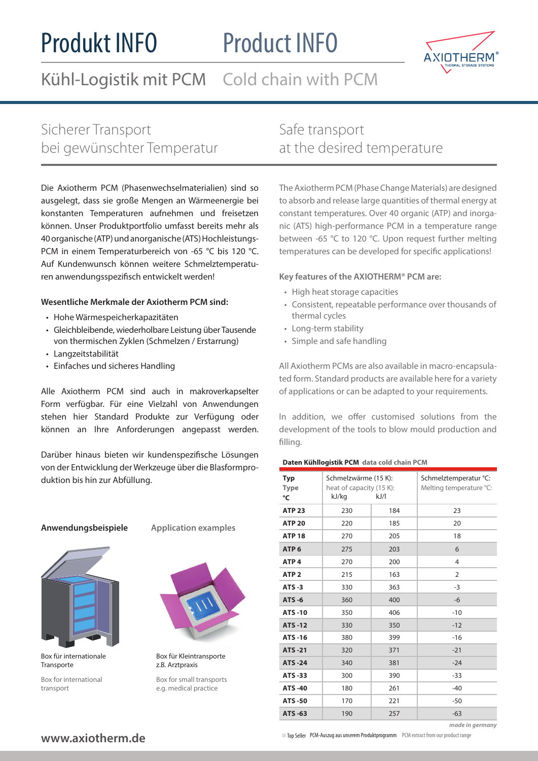# Produkt INFO

# Product INFO



Kühl-Logistik mit PCM Cold chain with PCM

# Sicherer Transport bei gewünschter Temperatur

Die Axiotherm PCM (Phasenwechselmaterialien) sind so ausgelegt, dass sie große Mengen an Wärmeenergie bei konstanten Temperaturen aufnehmen und freisetzen können. Unser Produktportfolio umfasst bereits mehr als 40 organische (ATP) und anorganische (ATS) Hochleistungs-PCM in einem Temperaturbereich von -65 °C bis 120 °C. Auf Kundenwunsch können weitere Schmelztemperaturen anwendungsspezifisch entwickelt werden!

### **Wesentliche Merkmale der Axiotherm PCM sind:**

- Hohe Wärmespeicherkapazitäten
- Gleichbleibende, wiederholbare Leistung über Tausende von thermischen Zyklen (Schmelzen / Erstarrung)
- Langzeitstabilität
- Einfaches und sicheres Handling

Alle Axiotherm PCM sind auch in makroverkapselter Form verfügbar. Für eine Vielzahl von Anwendungen stehen hier Standard Produkte zur Verfügung oder können an Ihre Anforderungen angepasst werden.

Darüber hinaus bieten wir kundenspezifische Lösungen von der Entwicklung der Werkzeuge über die Blasformproduktion bis hin zur Abfüllung.

#### **Anwendungsbeispiele**

**Application examples**



Box für internationale **Transporte** 

Box for international transport



Box für Kleintransporte z.B. Arztpraxis

Box for small transports e.g. medical practice

Safe transport at the desired temperature

The Axiotherm PCM (Phase Change Materials) are designed to absorb and release large quantities of thermal energy at constant temperatures. Over 40 organic (ATP) and inorganic (ATS) high-performance PCM in a temperature range between -65 °C to 120 °C. Upon request further melting temperatures can be developed for specific applications!

### **Key features of the AXIOTHERM® PCM are:**

- High heat storage capacities
- Consistent, repeatable performance over thousands of thermal cycles
- Long-term stability
- Simple and safe handling

All Axiotherm PCMs are also available in macro-encapsulated form. Standard products are available here for a variety of applications or can be adapted to your requirements.

In addition, we offer customised solutions from the development of the tools to blow mould production and filling.

#### **Daten Kühllogistik PCM data cold chain PCM**

| <b>Typ</b><br><b>Type</b><br>°C | Schmelzwärme (15 K):<br>heat of capacity (15 K):<br>kJ/kg | kJ/l | Schmelztemperatur °C:<br>Melting temperature °C: |  |  |
|---------------------------------|-----------------------------------------------------------|------|--------------------------------------------------|--|--|
| <b>ATP 23</b>                   | 230                                                       | 184  | 23                                               |  |  |
| <b>ATP 20</b>                   | 220                                                       | 185  | 20                                               |  |  |
| <b>ATP 18</b>                   | 270                                                       | 205  | 18                                               |  |  |
| ATP <sub>6</sub>                | 275                                                       | 203  | 6                                                |  |  |
| ATP <sub>4</sub>                | 270                                                       | 200  | $\overline{4}$                                   |  |  |
| ATP <sub>2</sub>                | 215                                                       | 163  | 2                                                |  |  |
| $ATS -3$                        | 330                                                       | 363  | $-3$                                             |  |  |
| $ATS - 6$                       | 360                                                       | 400  | $-6$                                             |  |  |
| <b>ATS-10</b>                   | 350                                                       | 406  | $-10$                                            |  |  |
| <b>ATS-12</b>                   | 330                                                       | 350  | $-12$                                            |  |  |
| <b>ATS-16</b>                   | 380                                                       | 399  | $-16$                                            |  |  |
| <b>ATS-21</b>                   | 320                                                       | 371  | $-21$                                            |  |  |
| <b>ATS-24</b>                   | 340                                                       | 381  | $-24$                                            |  |  |
| <b>ATS -33</b>                  | 300                                                       | 390  | $-33$                                            |  |  |
| <b>ATS -40</b>                  | 180                                                       | 261  | $-40$                                            |  |  |
| <b>ATS-50</b>                   | 170                                                       | 221  | $-50$                                            |  |  |
| <b>ATS -63</b>                  | 190                                                       | 257  | $-63$                                            |  |  |

# **www.axiotherm.de**

 $\Box$  Top Seller PCM-Auszug aus unserem Produktprogramm PCM extract from our product range

*made in germany*